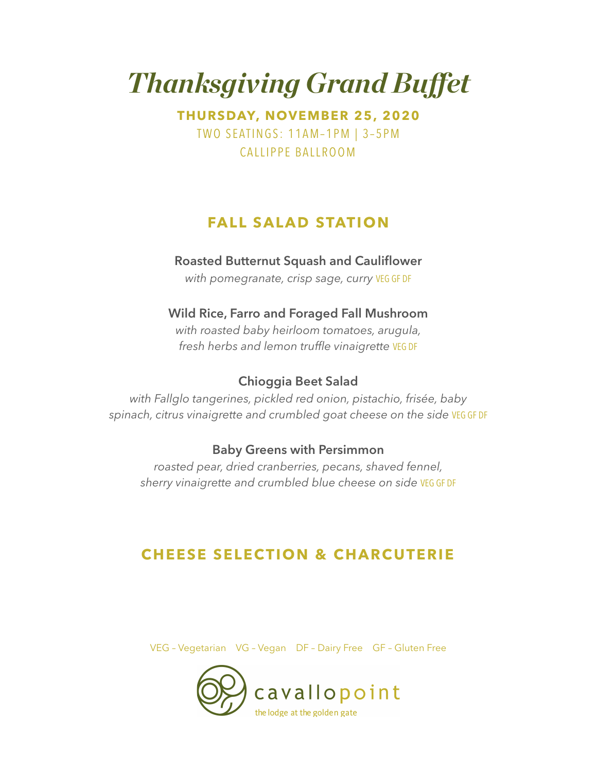# *Thanksgiving Grand Buffet*

**THURSDAY, NOVEMBER 25, 2020** TWO SEATINGS: 11AM–1PM | 3–5PM CALLIPPE BALLROOM

# **FALL SALAD STATION**

#### Roasted Butternut Squash and Cauliflower

*with pomegranate, crisp sage, curry* VEG GF DF

#### Wild Rice, Farro and Foraged Fall Mushroom

*with roasted baby heirloom tomatoes, arugula, fresh herbs and lemon truffle vinaigrette* VEG DF

## Chioggia Beet Salad

*with Fallglo tangerines, pickled red onion, pistachio, frisée, baby*  spinach, citrus vinaigrette and crumbled goat cheese on the side VEG GF DF

#### Baby Greens with Persimmon

*roasted pear, dried cranberries, pecans, shaved fennel, sherry vinaigrette and crumbled blue cheese on side* VEG GF DF

# **CHEESE SELECTION & CHARCUTERIE**

VEG – Vegetarian VG – Vegan DF – Dairy Free GF – Gluten Free

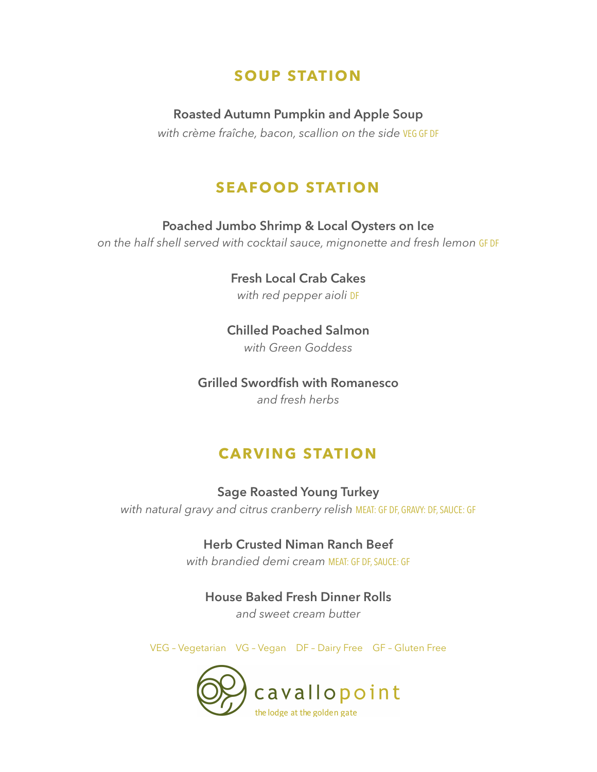# **SOUP STATION**

#### Roasted Autumn Pumpkin and Apple Soup

*with crème fraîche, bacon, scallion on the side* VEG GF DF

# **SEAFOOD STATION**

#### Poached Jumbo Shrimp & Local Oysters on Ice

*on the half shell served with cocktail sauce, mignonette and fresh lemon* GF DF

#### Fresh Local Crab Cakes *with red pepper aioli* DF

Chilled Poached Salmon

*with Green Goddess*

#### Grilled Swordfish with Romanesco

*and fresh herbs*

# **CARVING STATION**

Sage Roasted Young Turkey *with natural gravy and citrus cranberry relish* MEAT: GF DF, GRAVY: DF, SAUCE: GF

#### Herb Crusted Niman Ranch Beef

*with brandied demi cream* MEAT: GF DF, SAUCE: GF

## House Baked Fresh Dinner Rolls

*and sweet cream butter*

VEG – Vegetarian VG – Vegan DF – Dairy Free GF – Gluten Free